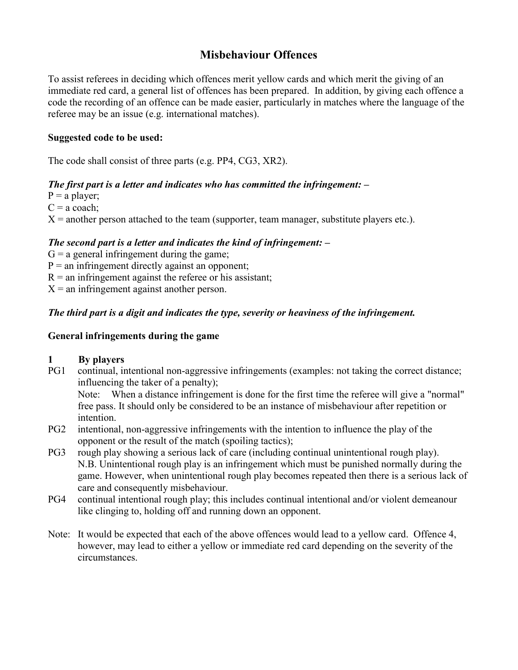# **Misbehaviour Offences**

To assist referees in deciding which offences merit yellow cards and which merit the giving of an immediate red card, a general list of offences has been prepared. In addition, by giving each offence a code the recording of an offence can be made easier, particularly in matches where the language of the referee may be an issue (e.g. international matches).

#### **Suggested code to be used:**

The code shall consist of three parts (e.g. PP4, CG3, XR2).

## *The first part is a letter and indicates who has committed the infringement: –*

 $P = a$  player;

 $C = a \text{ coach}$ ;

 $X =$  another person attached to the team (supporter, team manager, substitute players etc.).

## *The second part is a letter and indicates the kind of infringement: –*

 $G = a$  general infringement during the game;

 $P =$  an infringement directly against an opponent;

 $R =$  an infringement against the referee or his assistant;

 $X =$  an infringement against another person.

## *The third part is a digit and indicates the type, severity or heaviness of the infringement.*

#### **General infringements during the game**

#### **1 By players**

PG1 continual, intentional non-aggressive infringements (examples: not taking the correct distance; influencing the taker of a penalty);

Note: When a distance infringement is done for the first time the referee will give a "normal" free pass. It should only be considered to be an instance of misbehaviour after repetition or intention.

- PG2 intentional, non-aggressive infringements with the intention to influence the play of the opponent or the result of the match (spoiling tactics);
- PG3 rough play showing a serious lack of care (including continual unintentional rough play). N.B. Unintentional rough play is an infringement which must be punished normally during the game. However, when unintentional rough play becomes repeated then there is a serious lack of care and consequently misbehaviour.
- PG4 continual intentional rough play; this includes continual intentional and/or violent demeanour like clinging to, holding off and running down an opponent.
- Note: It would be expected that each of the above offences would lead to a yellow card. Offence 4, however, may lead to either a yellow or immediate red card depending on the severity of the circumstances.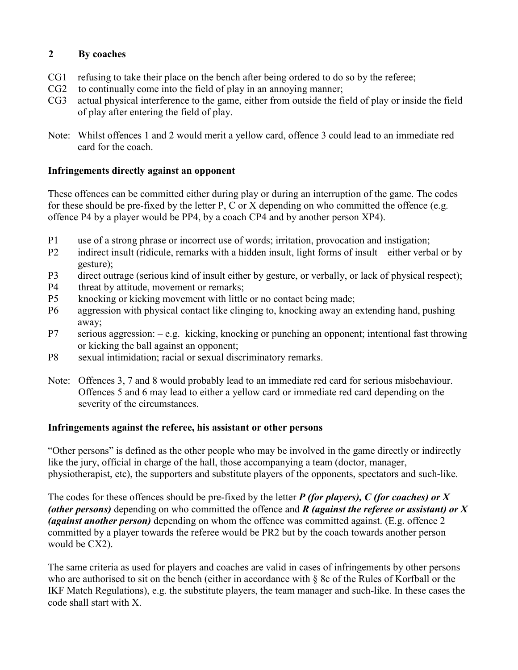### **2 By coaches**

- CG1 refusing to take their place on the bench after being ordered to do so by the referee;
- CG2 to continually come into the field of play in an annoying manner;
- CG3 actual physical interference to the game, either from outside the field of play or inside the field of play after entering the field of play.
- Note: Whilst offences 1 and 2 would merit a yellow card, offence 3 could lead to an immediate red card for the coach.

### **Infringements directly against an opponent**

These offences can be committed either during play or during an interruption of the game. The codes for these should be pre-fixed by the letter P, C or X depending on who committed the offence (e.g. offence P4 by a player would be PP4, by a coach CP4 and by another person XP4).

- P1 use of a strong phrase or incorrect use of words; irritation, provocation and instigation;
- P2 indirect insult (ridicule, remarks with a hidden insult, light forms of insult either verbal or by gesture);
- P3 direct outrage (serious kind of insult either by gesture, or verbally, or lack of physical respect);
- P4 threat by attitude, movement or remarks;
- P5 knocking or kicking movement with little or no contact being made;
- P6 aggression with physical contact like clinging to, knocking away an extending hand, pushing away;
- P7 serious aggression: e.g. kicking, knocking or punching an opponent; intentional fast throwing or kicking the ball against an opponent;
- P8 sexual intimidation; racial or sexual discriminatory remarks.
- Note: Offences 3, 7 and 8 would probably lead to an immediate red card for serious misbehaviour. Offences 5 and 6 may lead to either a yellow card or immediate red card depending on the severity of the circumstances.

## **Infringements against the referee, his assistant or other persons**

"Other persons" is defined as the other people who may be involved in the game directly or indirectly like the jury, official in charge of the hall, those accompanying a team (doctor, manager, physiotherapist, etc), the supporters and substitute players of the opponents, spectators and such-like.

The codes for these offences should be pre-fixed by the letter *P (for players), C (for coaches) or X (other persons)* depending on who committed the offence and *R (against the referee or assistant) or X (against another person)* depending on whom the offence was committed against. (E.g. offence 2 committed by a player towards the referee would be PR2 but by the coach towards another person would be CX2).

The same criteria as used for players and coaches are valid in cases of infringements by other persons who are authorised to sit on the bench (either in accordance with § 8c of the Rules of Korfball or the IKF Match Regulations), e.g. the substitute players, the team manager and such-like. In these cases the code shall start with X.